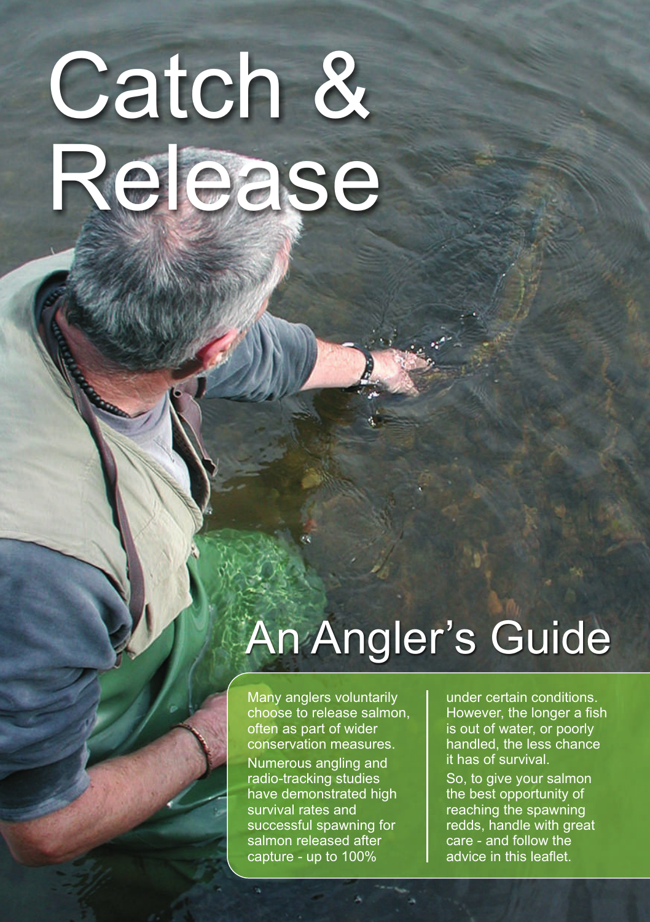# Catch & Release

# An Angler's Guide

Many anglers voluntarily choose to release salmon, often as part of wider conservation measures. Numerous angling and radio-tracking studies have demonstrated high survival rates and successful spawning for salmon released after capture - up to 100%

under certain conditions. However, the longer a fish is out of water, or poorly handled, the less chance it has of survival.

So, to give your salmon the best opportunity of reaching the spawning redds, handle with great care - and follow the advice in this leaflet.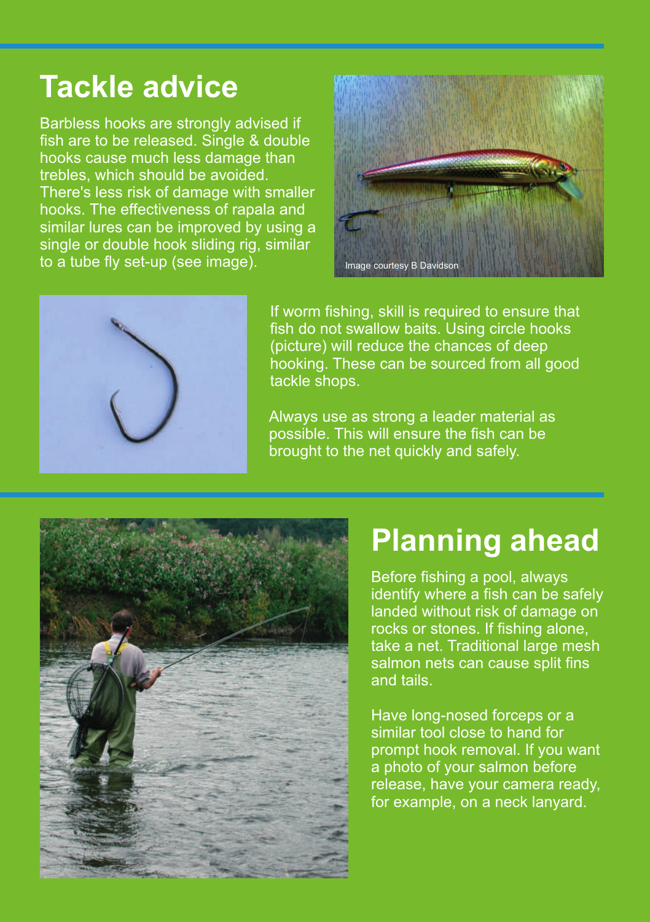#### **Tackle advice**

Barbless hooks are strongly advised if fish are to be released. Single & double hooks cause much less damage than trebles, which should be avoided. There's less risk of damage with smaller hooks. The effectiveness of rapala and similar lures can be improved by using a single or double hook sliding rig, similar to a tube fly set-up (see image).





If worm fishing, skill is required to ensure that fish do not swallow baits. Using circle hooks (picture) will reduce the chances of deep hooking. These can be sourced from all good tackle shops.

Always use as strong a leader material as possible. This will ensure the fish can be brought to the net quickly and safely.



#### **Planning ahead**

Before fishing a pool, always identify where a fish can be safely landed without risk of damage on rocks or stones. If fishing alone, take a net. Traditional large mesh salmon nets can cause split fins and tails.

Have long-nosed forceps or a similar tool close to hand for prompt hook removal. If you want a photo of your salmon before release, have your camera ready, for example, on a neck lanyard.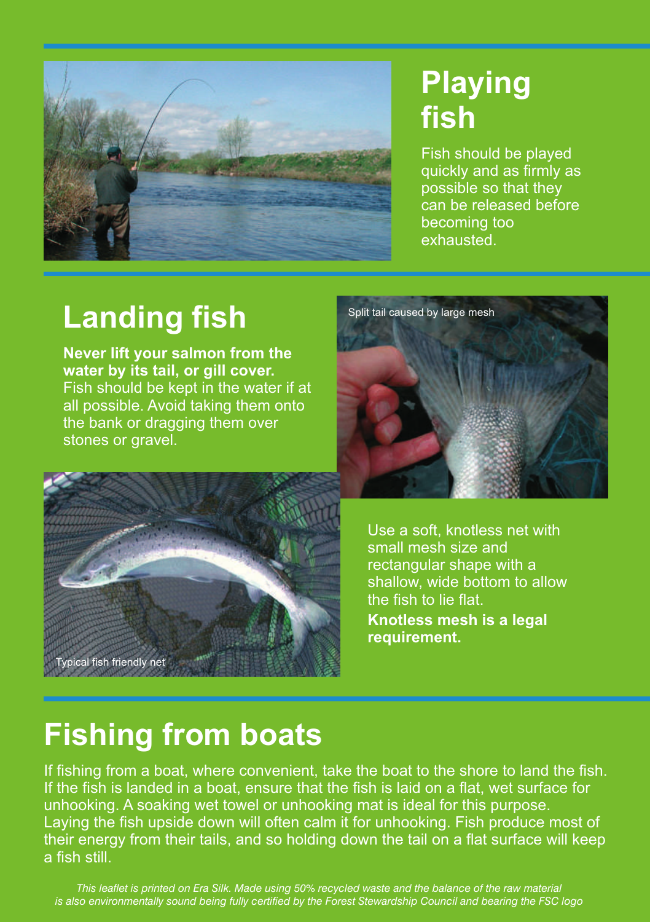

#### **Playing fish**

Fish should be played quickly and as firmly as possible so that they can be released before becoming too exhausted.

### **Landing fish**

**Never lift your salmon from the water by its tail, or gill cover.**  Fish should be kept in the water if at all possible. Avoid taking them onto the bank or dragging them over stones or gravel.





Use a soft, knotless net with small mesh size and rectangular shape with a shallow, wide bottom to allow the fish to lie flat.

**Knotless mesh is a legal requirement.** 

#### **Fishing from boats**

If fishing from a boat, where convenient, take the boat to the shore to land the fish. If the fish is landed in a boat, ensure that the fish is laid on a flat, wet surface for unhooking. A soaking wet towel or unhooking mat is ideal for this purpose. Laying the fish upside down will often calm it for unhooking. Fish produce most of their energy from their tails, and so holding down the tail on a flat surface will keep a fish still.